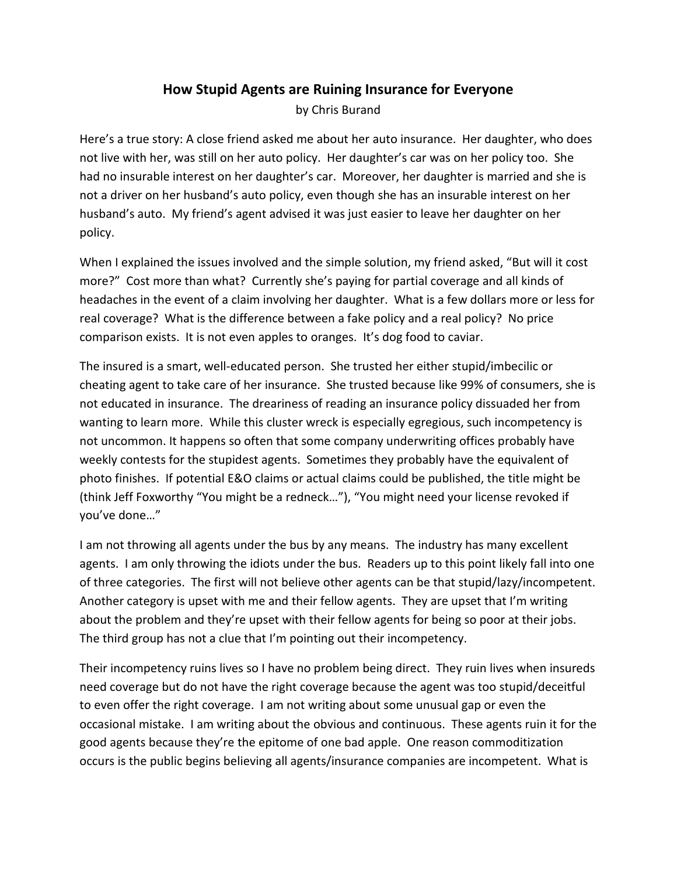## **How Stupid Agents are Ruining Insurance for Everyone** by Chris Burand

Here's a true story: A close friend asked me about her auto insurance. Her daughter, who does not live with her, was still on her auto policy. Her daughter's car was on her policy too. She had no insurable interest on her daughter's car. Moreover, her daughter is married and she is not a driver on her husband's auto policy, even though she has an insurable interest on her husband's auto. My friend's agent advised it was just easier to leave her daughter on her policy.

When I explained the issues involved and the simple solution, my friend asked, "But will it cost more?" Cost more than what? Currently she's paying for partial coverage and all kinds of headaches in the event of a claim involving her daughter. What is a few dollars more or less for real coverage? What is the difference between a fake policy and a real policy? No price comparison exists. It is not even apples to oranges. It's dog food to caviar.

The insured is a smart, well-educated person. She trusted her either stupid/imbecilic or cheating agent to take care of her insurance. She trusted because like 99% of consumers, she is not educated in insurance. The dreariness of reading an insurance policy dissuaded her from wanting to learn more. While this cluster wreck is especially egregious, such incompetency is not uncommon. It happens so often that some company underwriting offices probably have weekly contests for the stupidest agents. Sometimes they probably have the equivalent of photo finishes. If potential E&O claims or actual claims could be published, the title might be (think Jeff Foxworthy "You might be a redneck…"), "You might need your license revoked if you've done…"

I am not throwing all agents under the bus by any means. The industry has many excellent agents. I am only throwing the idiots under the bus. Readers up to this point likely fall into one of three categories. The first will not believe other agents can be that stupid/lazy/incompetent. Another category is upset with me and their fellow agents. They are upset that I'm writing about the problem and they're upset with their fellow agents for being so poor at their jobs. The third group has not a clue that I'm pointing out their incompetency.

Their incompetency ruins lives so I have no problem being direct. They ruin lives when insureds need coverage but do not have the right coverage because the agent was too stupid/deceitful to even offer the right coverage. I am not writing about some unusual gap or even the occasional mistake. I am writing about the obvious and continuous. These agents ruin it for the good agents because they're the epitome of one bad apple. One reason commoditization occurs is the public begins believing all agents/insurance companies are incompetent. What is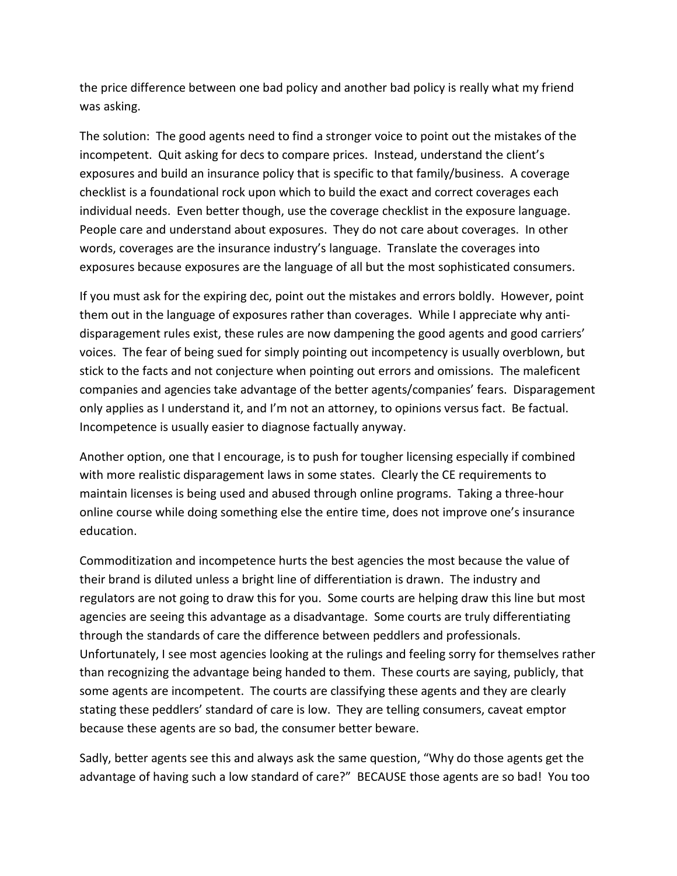the price difference between one bad policy and another bad policy is really what my friend was asking.

The solution: The good agents need to find a stronger voice to point out the mistakes of the incompetent. Quit asking for decs to compare prices. Instead, understand the client's exposures and build an insurance policy that is specific to that family/business. A coverage checklist is a foundational rock upon which to build the exact and correct coverages each individual needs. Even better though, use the coverage checklist in the exposure language. People care and understand about exposures. They do not care about coverages. In other words, coverages are the insurance industry's language. Translate the coverages into exposures because exposures are the language of all but the most sophisticated consumers.

If you must ask for the expiring dec, point out the mistakes and errors boldly. However, point them out in the language of exposures rather than coverages. While I appreciate why antidisparagement rules exist, these rules are now dampening the good agents and good carriers' voices. The fear of being sued for simply pointing out incompetency is usually overblown, but stick to the facts and not conjecture when pointing out errors and omissions. The maleficent companies and agencies take advantage of the better agents/companies' fears. Disparagement only applies as I understand it, and I'm not an attorney, to opinions versus fact. Be factual. Incompetence is usually easier to diagnose factually anyway.

Another option, one that I encourage, is to push for tougher licensing especially if combined with more realistic disparagement laws in some states. Clearly the CE requirements to maintain licenses is being used and abused through online programs. Taking a three-hour online course while doing something else the entire time, does not improve one's insurance education.

Commoditization and incompetence hurts the best agencies the most because the value of their brand is diluted unless a bright line of differentiation is drawn. The industry and regulators are not going to draw this for you. Some courts are helping draw this line but most agencies are seeing this advantage as a disadvantage. Some courts are truly differentiating through the standards of care the difference between peddlers and professionals. Unfortunately, I see most agencies looking at the rulings and feeling sorry for themselves rather than recognizing the advantage being handed to them. These courts are saying, publicly, that some agents are incompetent. The courts are classifying these agents and they are clearly stating these peddlers' standard of care is low. They are telling consumers, caveat emptor because these agents are so bad, the consumer better beware.

Sadly, better agents see this and always ask the same question, "Why do those agents get the advantage of having such a low standard of care?" BECAUSE those agents are so bad! You too